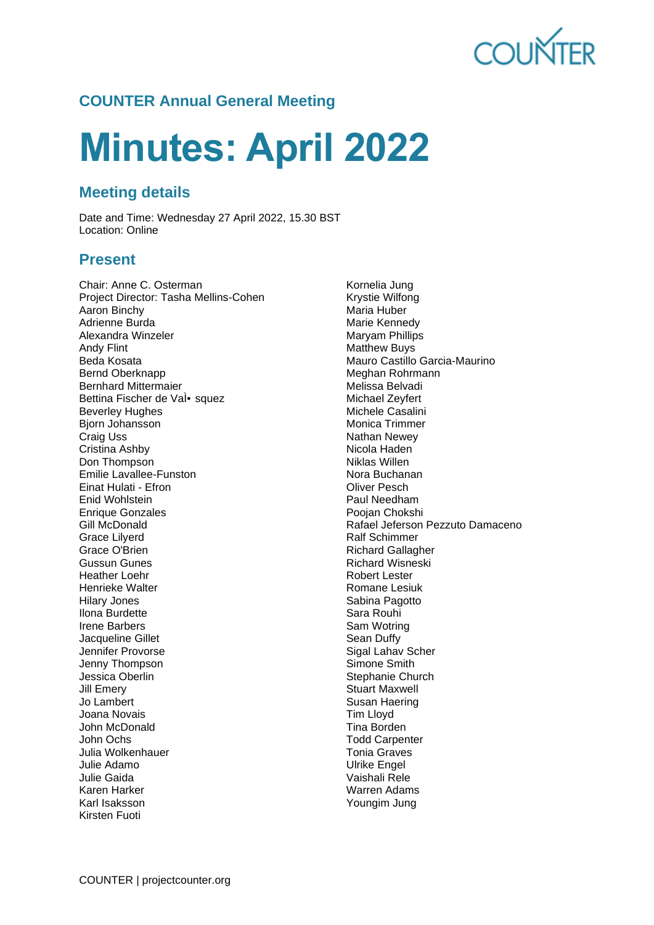

# **COUNTER Annual General Meeting**

# **Minutes: April 2022**

## **Meeting details**

Date and Time: Wednesday 27 April 2022, 15.30 BST Location: Online

## **Present**

Chair: Anne C. Osterman Project Director: Tasha Mellins-Cohen Aaron Binchy Adrienne Burda Alexandra Winzeler Andy Flint Beda Kosata Bernd Oberknapp Bernhard Mittermaier Bettina Fischer de Val• squez Beverley Hughes Bjorn Johansson Craig Uss Cristina Ashby Don Thompson Emilie Lavallee-Funston Einat Hulati - Efron Enid Wohlstein Enrique Gonzales Gill McDonald Grace Lilyerd Grace O'Brien Gussun Gunes Heather Loehr Henrieke Walter Hilary Jones Ilona Burdette Irene Barbers Jacqueline Gillet Jennifer Provorse Jenny Thompson Jessica Oberlin Jill Emery Jo Lambert Joana Novais John McDonald John Ochs Julia Wolkenhauer Julie Adamo Julie Gaida Karen Harker Karl Isaksson Kirsten Fuoti

Kornelia Jung Krystie Wilfong Maria Huber Marie Kennedy Maryam Phillips Matthew Buys Mauro Castillo Garcia-Maurino Meghan Rohrmann Melissa Belvadi Michael Zeyfert Michele Casalini Monica Trimmer Nathan Newey Nicola Haden Niklas Willen Nora Buchanan Oliver Pesch Paul Needham Poojan Chokshi Rafael Jeferson Pezzuto Damaceno Ralf Schimmer Richard Gallagher Richard Wisneski Robert Lester Romane Lesiuk Sabina Pagotto Sara Rouhi Sam Wotring Sean Duffy Sigal Lahav Scher Simone Smith Stephanie Church Stuart Maxwell Susan Haering Tim Lloyd Tina Borden Todd Carpenter Tonia Graves Ulrike Engel Vaishali Rele Warren Adams Youngim Jung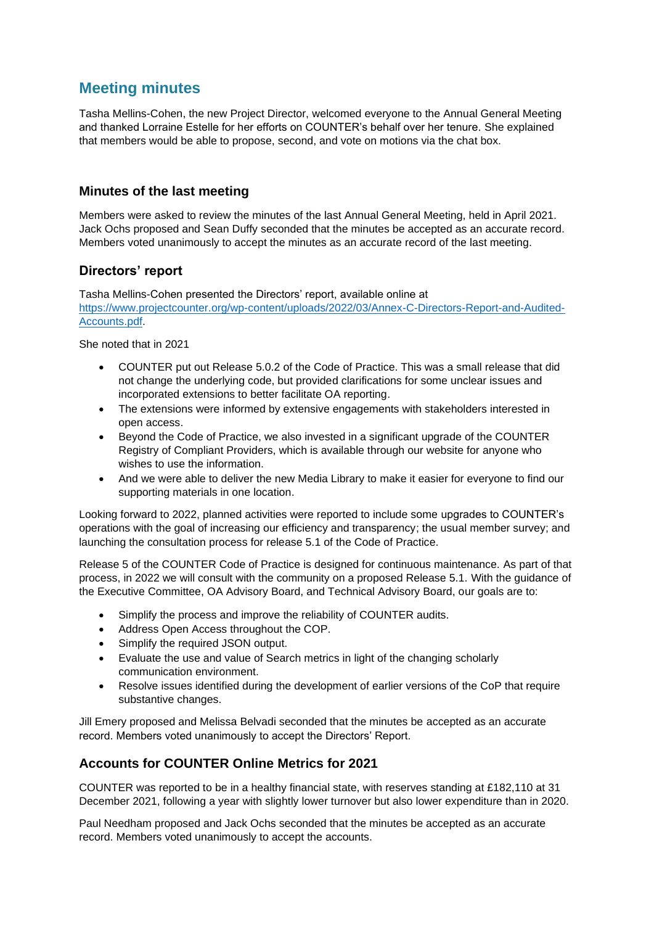## **Meeting minutes**

Tasha Mellins-Cohen, the new Project Director, welcomed everyone to the Annual General Meeting and thanked Lorraine Estelle for her efforts on COUNTER's behalf over her tenure. She explained that members would be able to propose, second, and vote on motions via the chat box.

#### **Minutes of the last meeting**

Members were asked to review the minutes of the last Annual General Meeting, held in April 2021. Jack Ochs proposed and Sean Duffy seconded that the minutes be accepted as an accurate record. Members voted unanimously to accept the minutes as an accurate record of the last meeting.

#### **Directors' report**

Tasha Mellins-Cohen presented the Directors' report, available online at [https://www.projectcounter.org/wp-content/uploads/2022/03/Annex-C-Directors-Report-and-Audited-](https://www.projectcounter.org/wp-content/uploads/2022/03/Annex-C-Directors-Report-and-Audited-Accounts.pdf)[Accounts.pdf.](https://www.projectcounter.org/wp-content/uploads/2022/03/Annex-C-Directors-Report-and-Audited-Accounts.pdf)

She noted that in 2021

- COUNTER put out Release 5.0.2 of the Code of Practice. This was a small release that did not change the underlying code, but provided clarifications for some unclear issues and incorporated extensions to better facilitate OA reporting.
- The extensions were informed by extensive engagements with stakeholders interested in open access.
- Beyond the Code of Practice, we also invested in a significant upgrade of the COUNTER Registry of Compliant Providers, which is available through our website for anyone who wishes to use the information.
- And we were able to deliver the new Media Library to make it easier for everyone to find our supporting materials in one location.

Looking forward to 2022, planned activities were reported to include some upgrades to COUNTER's operations with the goal of increasing our efficiency and transparency; the usual member survey; and launching the consultation process for release 5.1 of the Code of Practice.

Release 5 of the COUNTER Code of Practice is designed for continuous maintenance. As part of that process, in 2022 we will consult with the community on a proposed Release 5.1. With the guidance of the Executive Committee, OA Advisory Board, and Technical Advisory Board, our goals are to:

- Simplify the process and improve the reliability of COUNTER audits.
- Address Open Access throughout the COP.
- Simplify the required JSON output.
- Evaluate the use and value of Search metrics in light of the changing scholarly communication environment.
- Resolve issues identified during the development of earlier versions of the CoP that require substantive changes.

Jill Emery proposed and Melissa Belvadi seconded that the minutes be accepted as an accurate record. Members voted unanimously to accept the Directors' Report.

#### **Accounts for COUNTER Online Metrics for 2021**

COUNTER was reported to be in a healthy financial state, with reserves standing at £182,110 at 31 December 2021, following a year with slightly lower turnover but also lower expenditure than in 2020.

Paul Needham proposed and Jack Ochs seconded that the minutes be accepted as an accurate record. Members voted unanimously to accept the accounts.